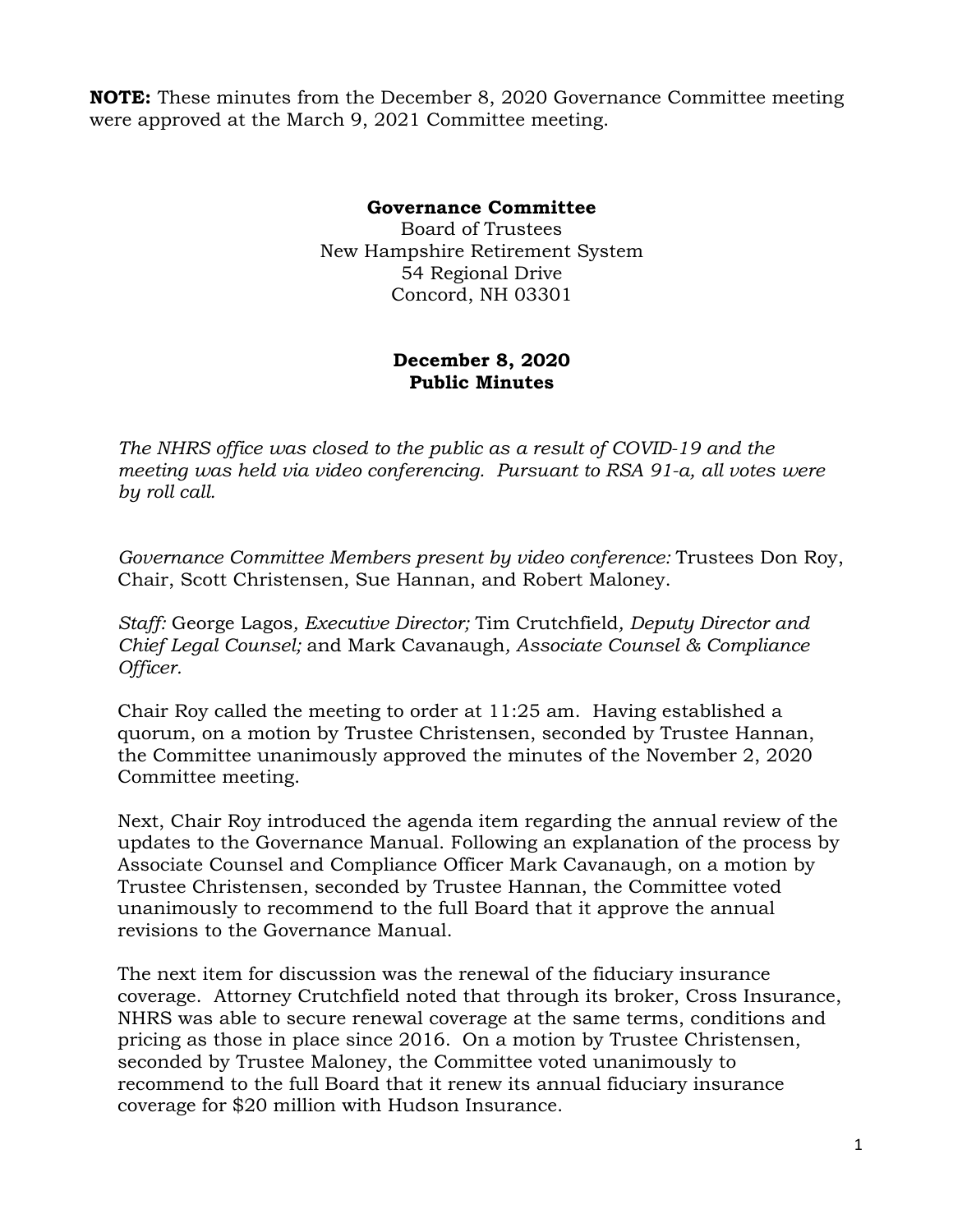**NOTE:** These minutes from the December 8, 2020 Governance Committee meeting were approved at the March 9, 2021 Committee meeting.

## **Governance Committee**

Board of Trustees New Hampshire Retirement System 54 Regional Drive Concord, NH 03301

## **December 8, 2020 Public Minutes**

*The NHRS office was closed to the public as a result of COVID-19 and the meeting was held via video conferencing. Pursuant to RSA 91-a, all votes were by roll call.*

*Governance Committee Members present by video conference:* Trustees Don Roy, Chair, Scott Christensen, Sue Hannan, and Robert Maloney.

*Staff:* George Lagos*, Executive Director;* Tim Crutchfield*, Deputy Director and Chief Legal Counsel;* and Mark Cavanaugh*, Associate Counsel & Compliance Officer.* 

Chair Roy called the meeting to order at 11:25 am. Having established a quorum, on a motion by Trustee Christensen, seconded by Trustee Hannan, the Committee unanimously approved the minutes of the November 2, 2020 Committee meeting.

Next, Chair Roy introduced the agenda item regarding the annual review of the updates to the Governance Manual. Following an explanation of the process by Associate Counsel and Compliance Officer Mark Cavanaugh, on a motion by Trustee Christensen, seconded by Trustee Hannan, the Committee voted unanimously to recommend to the full Board that it approve the annual revisions to the Governance Manual.

The next item for discussion was the renewal of the fiduciary insurance coverage. Attorney Crutchfield noted that through its broker, Cross Insurance, NHRS was able to secure renewal coverage at the same terms, conditions and pricing as those in place since 2016. On a motion by Trustee Christensen, seconded by Trustee Maloney, the Committee voted unanimously to recommend to the full Board that it renew its annual fiduciary insurance coverage for \$20 million with Hudson Insurance.